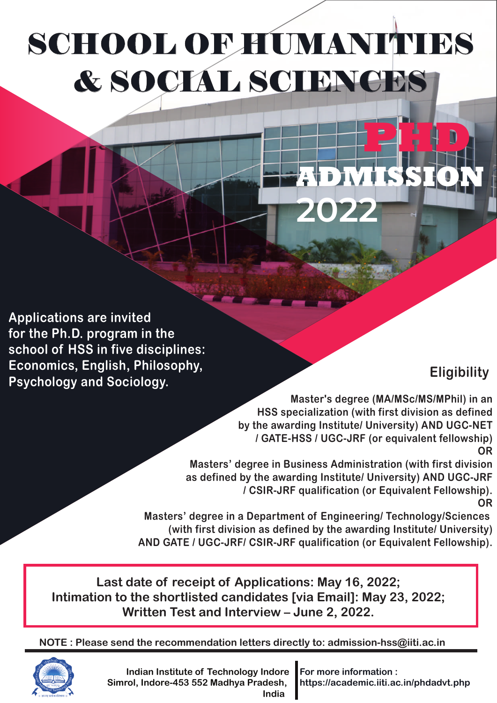# SCHOOL OF HUMANITIES & SOCIAL SCIENCES

**Applications are invited for the Ph.D. program in the school of HSS in five disciplines: Economics, English, Philosophy, Psychology and Sociology.**

## **Eligibility**

**Master's degree (MA/MSc/MS/MPhil) in an HSS specialization (with first division as defined by the awarding Institute/ University) AND UGC-NET / GATE-HSS / UGC-JRF (or equivalent fellowship) OR**

**ADMISSION**

**PHD**

**Masters' degree in Business Administration (with first division as defined by the awarding Institute/ University) AND UGC-JRF / CSIR-JRF qualification (or Equivalent Fellowship). OR**

**2022**

**Masters' degree in a Department of Engineering/ Technology/Sciences (with first division as defined by the awarding Institute/ University) AND GATE / UGC-JRF/ CSIR-JRF qualification (or Equivalent Fellowship).**

**Last date of receipt of Applications: May 16, 2022; Intimation to the shortlisted candidates [via Email]: May 23, 2022; Written Test and Interview – June 2, 2022.**

**NOTE : Please send the recommendation letters directly to: admission-hss@iiti.ac.in**



**Indian Institute of Technology Indore Simrol, Indore-453 552 Madhya Pradesh, India** 

**For more information : https://academic.iiti.ac.in/phdadvt.php**